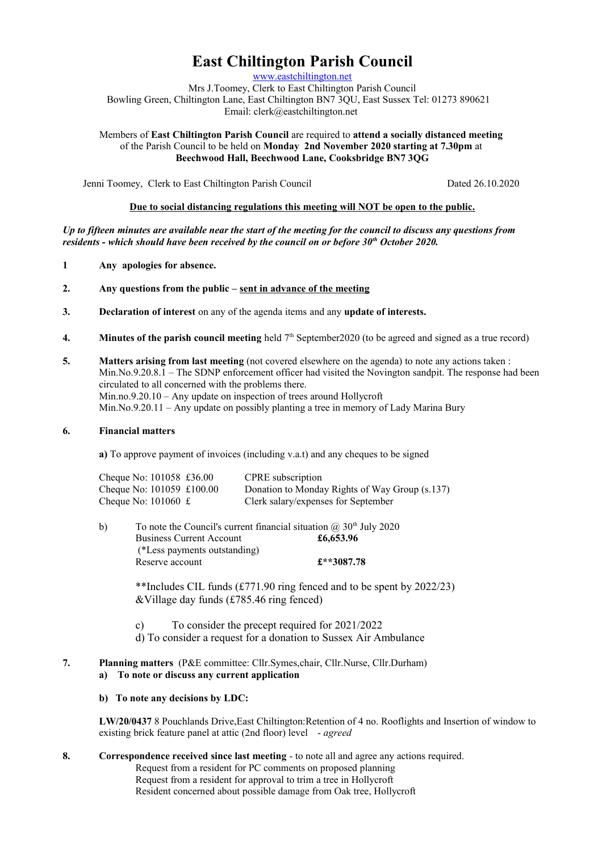# **East Chiltington Parish Council**

[www.eastchiltington.net](http://www.eastchiltington.net/)

Mrs J.Toomey, Clerk to East Chiltington Parish Council Bowling Green, Chiltington Lane, East Chiltington BN7 3QU, East Sussex Tel: 01273 890621 Email: cler[k@eastchiltington.net](mailto:jt@chiltington.wanadoo.co.uk) 

Members of **East Chiltington Parish Council** are required to **attend a socially distanced meeting**  of the Parish Council to be held on **Monday 2nd November 2020 starting at 7.30pm** at **Beechwood Hall, Beechwood Lane, Cooksbridge BN7 3QG**

Jenni Toomey, Clerk to East Chiltington Parish Council Dated 26.10.2020

## **Due to social distancing regulations this meeting will NOT be open to the public.**

*Up to fifteen minutes are available near the start of the meeting for the council to discuss any questions from residents - which should have been received by the council on or before 30th October 2020.*

- **1 Any apologies for absence.**
- **2. Any questions from the public sent in advance of the meeting**
- **3. Declaration of interest** on any of the agenda items and any **update of interests.**
- **4.** Minutes of the parish council meeting held  $7<sup>th</sup>$  September2020 (to be agreed and signed as a true record)
- **5. Matters arising from last meeting** (not covered elsewhere on the agenda) to note any actions taken : Min.No.9.20.8.1 – The SDNP enforcement officer had visited the Novington sandpit. The response had been circulated to all concerned with the problems there. Min.no.9.20.10 – Any update on inspection of trees around Hollycroft Min.No.9.20.11 – Any update on possibly planting a tree in memory of Lady Marina Bury

#### **6. Financial matters**

**a)** To approve payment of invoices (including v.a.t) and any cheques to be signed

| Cheque No: 101058 £36.00                                | <b>CPRE</b> subscription                       |
|---------------------------------------------------------|------------------------------------------------|
| Cheque No: $101059 \text{ } \text{\textsterling}100.00$ | Donation to Monday Rights of Way Group (s.137) |
| Cheque No: $101060 \text{ } \pounds$                    | Clerk salary/expenses for September            |

| b) | To note the Council's current financial situation $(2, 30th)$ July 2020 |            |
|----|-------------------------------------------------------------------------|------------|
|    | <b>Business Current Account</b>                                         | £6,653.96  |
|    | (*Less payments outstanding)                                            |            |
|    | Reserve account                                                         | £**3087.78 |

\*\*Includes CIL funds (£771.90 ring fenced and to be spent by 2022/23) &Village day funds (£785.46 ring fenced)

- c) To consider the precept required for 2021/2022
- d) To consider a request for a donation to Sussex Air Ambulance
- **7. Planning matters** (P&E committee: Cllr.Symes,chair, Cllr.Nurse, Cllr.Durham) **a) To note or discuss any current application**

## **b) To note any decisions by LDC:**

**LW/20/0437** 8 Pouchlands Drive,East Chiltington:Retention of 4 no. Rooflights and Insertion of window to existing brick feature panel at attic (2nd floor) level - *agreed*

**8. Correspondence received since last meeting** - to note all and agree any actions required. Request from a resident for PC comments on proposed planning Request from a resident for approval to trim a tree in Hollycroft Resident concerned about possible damage from Oak tree, Hollycroft